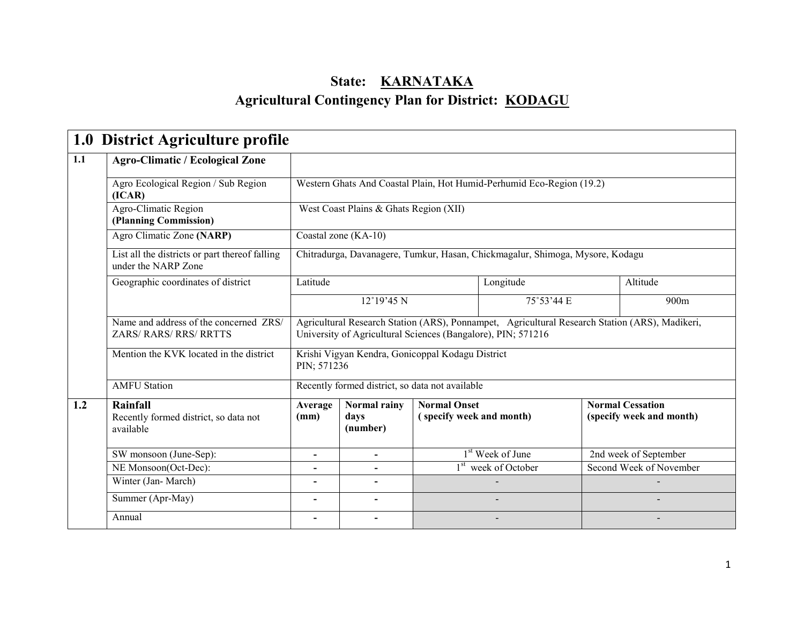### State: **KARNATAKA** Agricultural Contingency Plan for District: KODAGU

|     | 1.0 District Agriculture profile                                        |                                                                                                                                                                |                                                                       |                                                 |                                                                               |                                                     |  |  |  |
|-----|-------------------------------------------------------------------------|----------------------------------------------------------------------------------------------------------------------------------------------------------------|-----------------------------------------------------------------------|-------------------------------------------------|-------------------------------------------------------------------------------|-----------------------------------------------------|--|--|--|
| 1.1 | <b>Agro-Climatic / Ecological Zone</b>                                  |                                                                                                                                                                |                                                                       |                                                 |                                                                               |                                                     |  |  |  |
|     | Agro Ecological Region / Sub Region<br>(ICAR)                           |                                                                                                                                                                | Western Ghats And Coastal Plain, Hot Humid-Perhumid Eco-Region (19.2) |                                                 |                                                                               |                                                     |  |  |  |
|     | Agro-Climatic Region<br>(Planning Commission)                           | West Coast Plains & Ghats Region (XII)                                                                                                                         |                                                                       |                                                 |                                                                               |                                                     |  |  |  |
|     | Agro Climatic Zone (NARP)                                               |                                                                                                                                                                | Coastal zone (KA-10)                                                  |                                                 |                                                                               |                                                     |  |  |  |
|     | List all the districts or part thereof falling<br>under the NARP Zone   |                                                                                                                                                                |                                                                       |                                                 | Chitradurga, Davanagere, Tumkur, Hasan, Chickmagalur, Shimoga, Mysore, Kodagu |                                                     |  |  |  |
|     | Geographic coordinates of district                                      | Latitude                                                                                                                                                       |                                                                       |                                                 | Longitude                                                                     | Altitude                                            |  |  |  |
|     |                                                                         |                                                                                                                                                                | 12°19'45 N                                                            |                                                 | 75°53'44 E                                                                    | 900m                                                |  |  |  |
|     | Name and address of the concerned ZRS/<br><b>ZARS/ RARS/ RRS/ RRTTS</b> | Agricultural Research Station (ARS), Ponnampet, Agricultural Research Station (ARS), Madikeri,<br>University of Agricultural Sciences (Bangalore), PIN; 571216 |                                                                       |                                                 |                                                                               |                                                     |  |  |  |
|     | Mention the KVK located in the district                                 |                                                                                                                                                                | Krishi Vigyan Kendra, Gonicoppal Kodagu District<br>PIN; 571236       |                                                 |                                                                               |                                                     |  |  |  |
|     | <b>AMFU</b> Station                                                     |                                                                                                                                                                | Recently formed district, so data not available                       |                                                 |                                                                               |                                                     |  |  |  |
| 1.2 | Rainfall<br>Recently formed district, so data not<br>available          |                                                                                                                                                                | Normal rainy<br>days<br>(number)                                      | <b>Normal Onset</b><br>(specify week and month) |                                                                               | <b>Normal Cessation</b><br>(specify week and month) |  |  |  |
|     | SW monsoon (June-Sep):                                                  |                                                                                                                                                                | -                                                                     |                                                 | 1 <sup>st</sup> Week of June                                                  | 2nd week of September                               |  |  |  |
|     | NE Monsoon(Oct-Dec):                                                    |                                                                                                                                                                | -                                                                     |                                                 | 1 <sup>st</sup> week of October                                               | Second Week of November                             |  |  |  |
|     | Winter (Jan-March)                                                      |                                                                                                                                                                | ۰                                                                     |                                                 |                                                                               |                                                     |  |  |  |
|     | Summer (Apr-May)                                                        | $\overline{\phantom{a}}$                                                                                                                                       | $\overline{\phantom{a}}$                                              |                                                 |                                                                               |                                                     |  |  |  |
|     | Annual                                                                  |                                                                                                                                                                |                                                                       |                                                 |                                                                               |                                                     |  |  |  |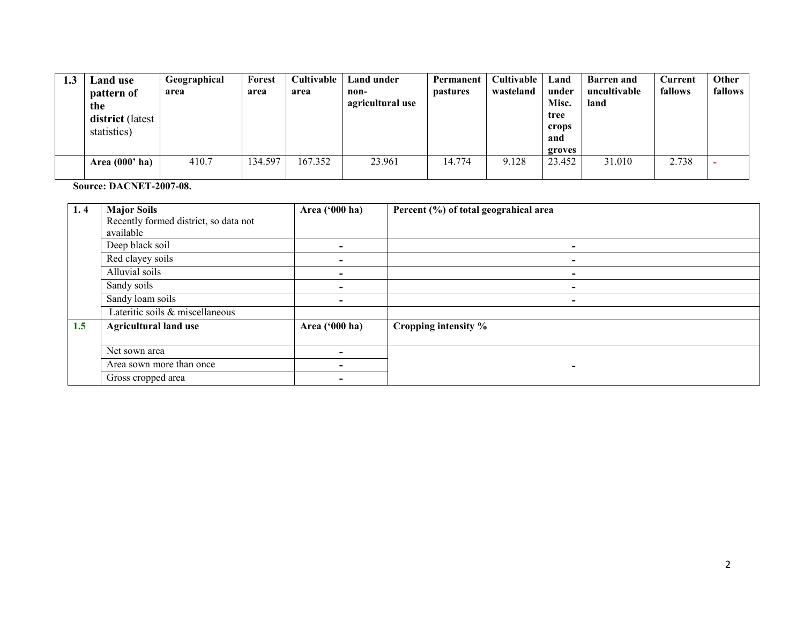| 1.3 | Land use<br>pattern of<br>the<br><b>district</b> (latest<br>statistics) | Geographical<br>area | Forest<br>area | Cultivable<br>area | Land under<br>non-<br>agricultural use | Permanent<br><i>pastures</i> | Cultivable<br>wasteland | Land<br>under<br>Misc.<br>tree<br>crops<br>and | <b>Barren</b> and<br>uncultivable<br>land | Current<br>fallows | Other<br>fallows |
|-----|-------------------------------------------------------------------------|----------------------|----------------|--------------------|----------------------------------------|------------------------------|-------------------------|------------------------------------------------|-------------------------------------------|--------------------|------------------|
|     |                                                                         |                      |                |                    |                                        |                              |                         | groves                                         |                                           |                    |                  |
|     | Area $(000'$ ha)                                                        | 410.7                | 134.597        | 167.352            | 23.961                                 | 14.774                       | 9.128                   | 23.452                                         | 31.010                                    | 2.738              |                  |

Source: DACNET-2007-08.

| 1.4 | <b>Major Soils</b>                    | Area ('000 ha) | Percent (%) of total geograhical area |
|-----|---------------------------------------|----------------|---------------------------------------|
|     | Recently formed district, so data not |                |                                       |
|     | available                             |                |                                       |
|     | Deep black soil                       | ٠              | $\overline{\phantom{0}}$              |
|     | Red clayey soils                      |                |                                       |
|     | Alluvial soils                        | $\blacksquare$ | $\blacksquare$                        |
|     | Sandy soils                           | $\blacksquare$ | $\overline{\phantom{0}}$              |
|     | Sandy loam soils                      | $\blacksquare$ | $\overline{\phantom{a}}$              |
|     | Lateritic soils & miscellaneous       |                |                                       |
| 1.5 | <b>Agricultural land use</b>          | Area ('000 ha) | Cropping intensity %                  |
|     |                                       |                |                                       |
|     | Net sown area                         |                |                                       |
|     | Area sown more than once              |                |                                       |
|     | Gross cropped area                    |                |                                       |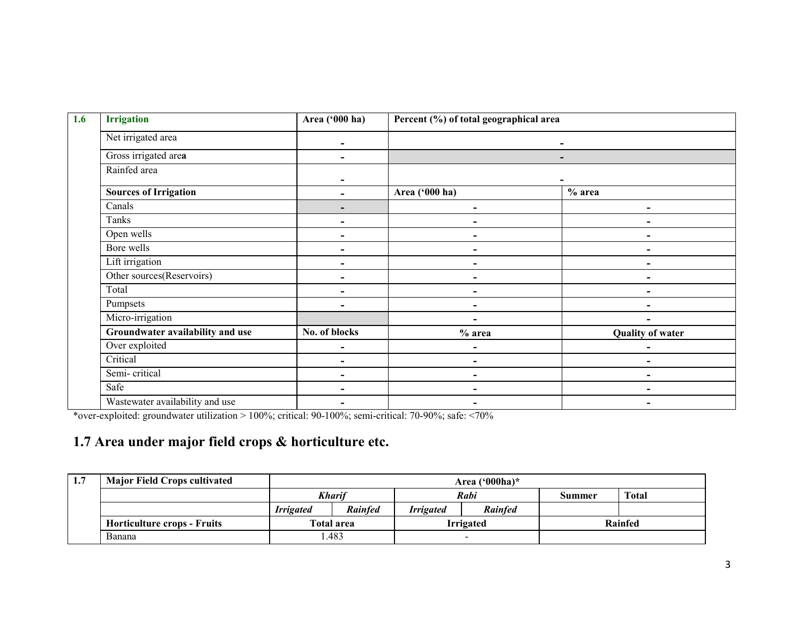| <b>Irrigation</b>                | Area ('000 ha)           | Percent (%) of total geographical area |                          |  |
|----------------------------------|--------------------------|----------------------------------------|--------------------------|--|
| Net irrigated area               | -                        |                                        | -                        |  |
| Gross irrigated area             |                          |                                        |                          |  |
| Rainfed area                     | $\overline{\phantom{0}}$ |                                        |                          |  |
| <b>Sources of Irrigation</b>     |                          | Area ('000 ha)                         | $%$ area                 |  |
| Canals                           | ۰                        | ۰                                      | ۰                        |  |
| Tanks                            |                          |                                        |                          |  |
| Open wells                       |                          |                                        |                          |  |
| Bore wells                       |                          |                                        |                          |  |
| Lift irrigation                  | -                        | $\overline{\phantom{0}}$               | $\overline{\phantom{0}}$ |  |
| Other sources(Reservoirs)        |                          |                                        |                          |  |
| Total                            |                          |                                        |                          |  |
| Pumpsets                         |                          |                                        |                          |  |
| Micro-irrigation                 |                          | $\overline{\phantom{0}}$               | ۰                        |  |
| Groundwater availability and use | No. of blocks            | $%$ area                               | <b>Quality of water</b>  |  |
| Over exploited                   | $\blacksquare$           |                                        |                          |  |
| Critical                         |                          |                                        |                          |  |
| Semi-critical                    | -                        | $\blacksquare$                         | $\overline{\phantom{0}}$ |  |
| Safe                             |                          |                                        |                          |  |
| Wastewater availability and use  |                          |                                        |                          |  |

\*over-exploited: groundwater utilization > 100%; critical: 90-100%; semi-critical: 70-90%; safe: <70%

### 1.7 Area under major field crops & horticulture etc.

| 1.7 | <b>Major Field Crops cultivated</b> | Area $(900ha)^*$                                                         |            |  |                  |              |         |
|-----|-------------------------------------|--------------------------------------------------------------------------|------------|--|------------------|--------------|---------|
|     |                                     | <b>Kharif</b><br>Rabi                                                    |            |  | Summer           | <b>Total</b> |         |
|     |                                     | <b>Rainfed</b><br><b>Rainfed</b><br><b>Irrigated</b><br><b>Irrigated</b> |            |  |                  |              |         |
|     | <b>Horticulture crops - Fruits</b>  |                                                                          | Total area |  | <b>Irrigated</b> |              | Rainfed |
|     | Banana                              |                                                                          | .483       |  | $\sim$           |              |         |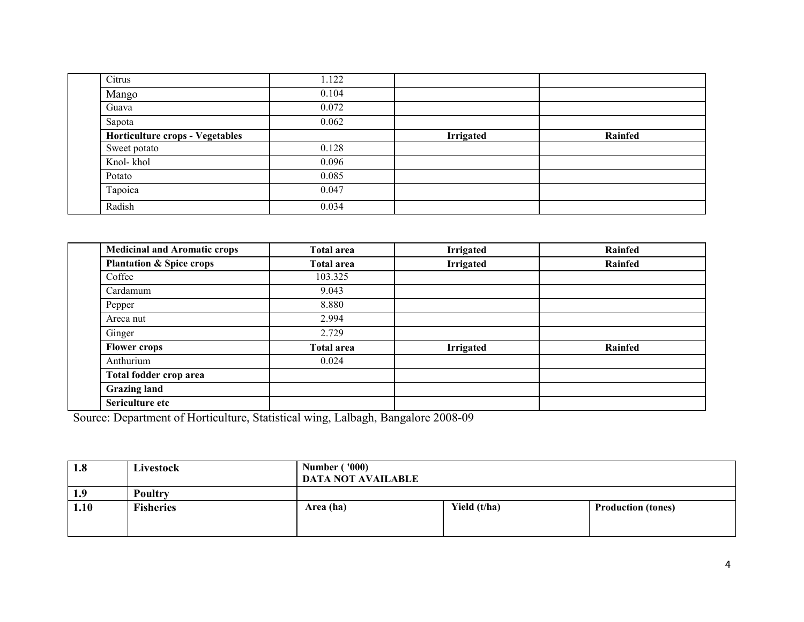| Citrus                                 | 1.122 |                  |         |
|----------------------------------------|-------|------------------|---------|
| Mango                                  | 0.104 |                  |         |
| Guava                                  | 0.072 |                  |         |
| Sapota                                 | 0.062 |                  |         |
| <b>Horticulture crops - Vegetables</b> |       | <b>Irrigated</b> | Rainfed |
| Sweet potato                           | 0.128 |                  |         |
| Knol-khol                              | 0.096 |                  |         |
| Potato                                 | 0.085 |                  |         |
| Tapoica                                | 0.047 |                  |         |
| Radish                                 | 0.034 |                  |         |

| <b>Medicinal and Aromatic crops</b> | <b>Total area</b> | <b>Irrigated</b> | Rainfed |
|-------------------------------------|-------------------|------------------|---------|
| <b>Plantation &amp; Spice crops</b> | <b>Total area</b> | <b>Irrigated</b> | Rainfed |
| Coffee                              | 103.325           |                  |         |
| Cardamum                            | 9.043             |                  |         |
| Pepper                              | 8.880             |                  |         |
| Areca nut                           | 2.994             |                  |         |
| Ginger                              | 2.729             |                  |         |
| <b>Flower crops</b>                 | <b>Total area</b> | <b>Irrigated</b> | Rainfed |
| Anthurium                           | 0.024             |                  |         |
| Total fodder crop area              |                   |                  |         |
| <b>Grazing land</b>                 |                   |                  |         |
| Sericulture etc                     |                   |                  |         |

Source: Department of Horticulture, Statistical wing, Lalbagh, Bangalore 2008-09

| 1.8  | Livestock        | <b>Number ('000)</b><br><b>DATA NOT AVAILABLE</b> |              |                           |
|------|------------------|---------------------------------------------------|--------------|---------------------------|
| 1.9  | <b>Poultry</b>   |                                                   |              |                           |
| 1.10 | <b>Fisheries</b> | Area (ha)                                         | Yield (t/ha) | <b>Production (tones)</b> |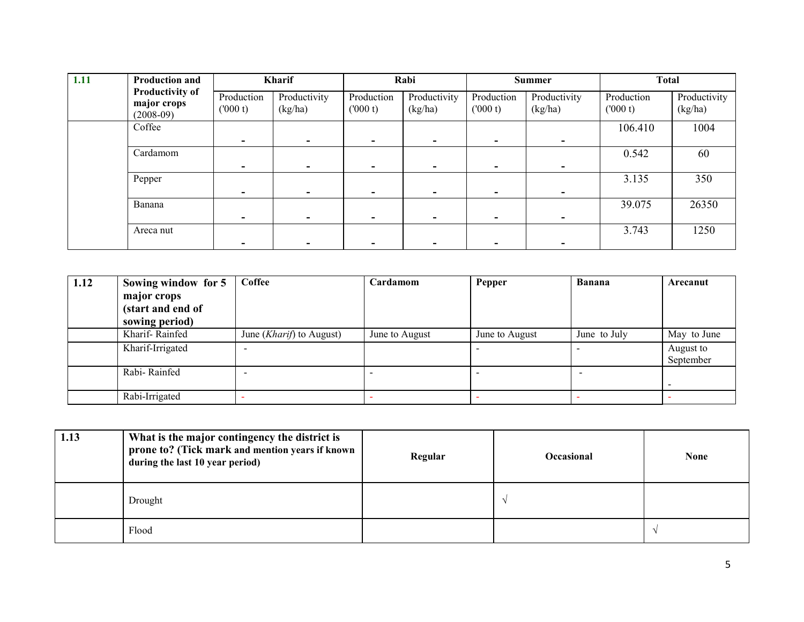| 1.11 | <b>Production and</b>                                |                       | <b>Kharif</b>           |                          | Rabi                     |                       | <b>Summer</b>           | <b>Total</b>          |                         |
|------|------------------------------------------------------|-----------------------|-------------------------|--------------------------|--------------------------|-----------------------|-------------------------|-----------------------|-------------------------|
|      | <b>Productivity of</b><br>major crops<br>$(2008-09)$ | Production<br>(000 t) | Productivity<br>(kg/ha) | Production<br>(000 t)    | Productivity<br>(kg/ha)  | Production<br>(000 t) | Productivity<br>(kg/ha) | Production<br>(000 t) | Productivity<br>(kg/ha) |
|      | Coffee                                               |                       | $\sim$                  |                          | -                        |                       | $\sim$                  | 106.410               | 1004                    |
|      | Cardamom                                             |                       | ۰.                      |                          |                          |                       | $\sim$                  | 0.542                 | 60                      |
|      | Pepper                                               |                       | ۰.                      | $\overline{\phantom{0}}$ | $\overline{\phantom{a}}$ |                       | $\sim$                  | 3.135                 | 350                     |
|      | Banana                                               |                       | -                       |                          |                          |                       | -                       | 39.075                | 26350                   |
|      | Areca nut                                            |                       |                         |                          |                          |                       |                         | 3.743                 | 1250                    |

| 1.12 | Sowing window for 5 | Coffee                            | Cardamom       | Pepper         | <b>Banana</b> | Arecanut    |
|------|---------------------|-----------------------------------|----------------|----------------|---------------|-------------|
|      | major crops         |                                   |                |                |               |             |
|      | (start and end of   |                                   |                |                |               |             |
|      | sowing period)      |                                   |                |                |               |             |
|      | Kharif-Rainfed      | June ( <i>Kharif</i> ) to August) | June to August | June to August | June to July  | May to June |
|      | Kharif-Irrigated    |                                   |                |                |               | August to   |
|      |                     |                                   |                |                |               | September   |
|      | Rabi-Rainfed        |                                   |                |                |               |             |
|      |                     |                                   |                |                |               |             |
|      | Rabi-Irrigated      |                                   |                |                |               |             |

| 1.13 | What is the major contingency the district is<br>prone to? (Tick mark and mention years if known<br>during the last 10 year period) | Regular | <b>Occasional</b> | <b>None</b> |
|------|-------------------------------------------------------------------------------------------------------------------------------------|---------|-------------------|-------------|
|      | Drought                                                                                                                             |         |                   |             |
|      | Flood                                                                                                                               |         |                   |             |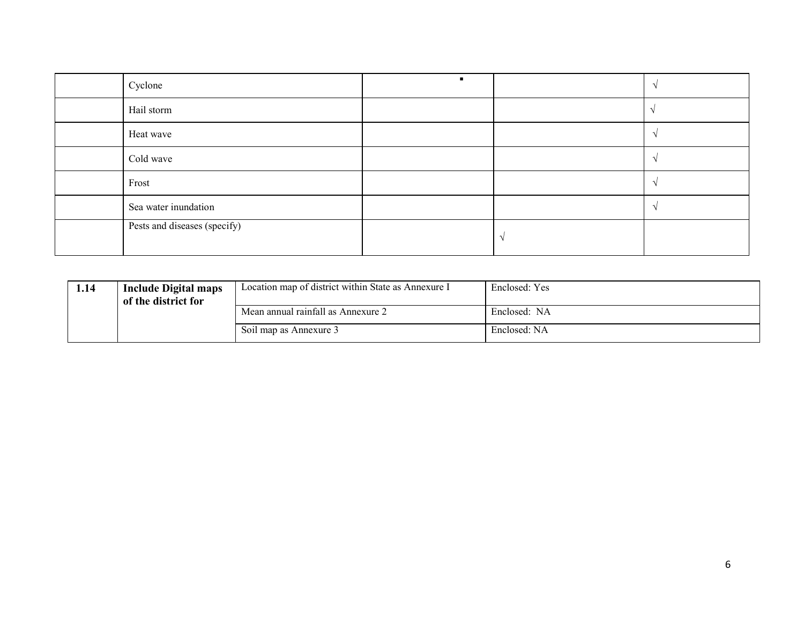| Cyclone                      |  |  |
|------------------------------|--|--|
| Hail storm                   |  |  |
| Heat wave                    |  |  |
| Cold wave                    |  |  |
| Frost                        |  |  |
| Sea water inundation         |  |  |
| Pests and diseases (specify) |  |  |

| 1.14 | <b>Include Digital maps</b><br>of the district for | Location map of district within State as Annexure I | Enclosed: Yes |
|------|----------------------------------------------------|-----------------------------------------------------|---------------|
|      |                                                    | Mean annual rainfall as Annexure 2                  | Enclosed: NA  |
|      |                                                    | Soil map as Annexure 3                              | Enclosed: NA  |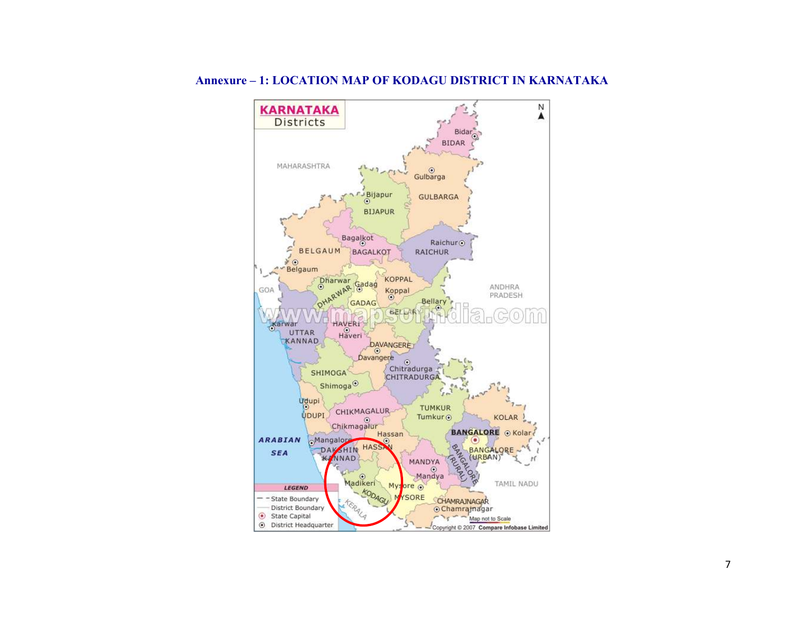

#### Annexure – 1: LOCATION MAP OF KODAGU DISTRICT IN KARNATAKA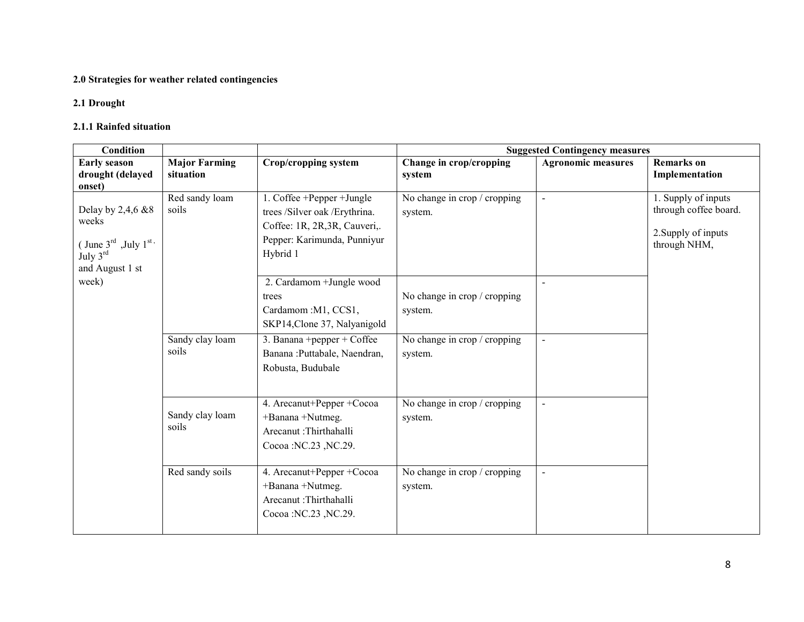#### 2.0 Strategies for weather related contingencies

#### 2.1 Drought

#### 2.1.1 Rainfed situation

| <b>Condition</b><br><b>Suggested Contingency measures</b>                                                                            |                                   |                                                                                                                                        |                                         |                           |                                                                                     |
|--------------------------------------------------------------------------------------------------------------------------------------|-----------------------------------|----------------------------------------------------------------------------------------------------------------------------------------|-----------------------------------------|---------------------------|-------------------------------------------------------------------------------------|
| <b>Early season</b><br>drought (delayed<br>onset)                                                                                    | <b>Major Farming</b><br>situation | Crop/cropping system                                                                                                                   | Change in crop/cropping<br>system       | <b>Agronomic measures</b> | <b>Remarks</b> on<br>Implementation                                                 |
| Delay by 2,4,6 &8<br>weeks<br>(June 3 $^{\text{rd}}$ , July 1 $^{\text{st}}$ ,<br>$\mathrm{July}~3^{\mathrm{rd}}$<br>and August 1 st | Red sandy loam<br>soils           | 1. Coffee +Pepper +Jungle<br>trees /Silver oak /Erythrina.<br>Coffee: 1R, 2R, 3R, Cauveri,.<br>Pepper: Karimunda, Punniyur<br>Hybrid 1 | No change in crop / cropping<br>system. | $\blacksquare$            | 1. Supply of inputs<br>through coffee board.<br>2. Supply of inputs<br>through NHM, |
| week)                                                                                                                                |                                   | 2. Cardamom + Jungle wood<br>trees<br>Cardamom : M1, CCS1,<br>SKP14, Clone 37, Nalyanigold                                             | No change in crop / cropping<br>system. |                           |                                                                                     |
|                                                                                                                                      | Sandy clay loam<br>soils          | 3. Banana + pepper + Coffee<br>Banana : Puttabale, Naendran,<br>Robusta, Budubale                                                      | No change in crop / cropping<br>system. | $\blacksquare$            |                                                                                     |
|                                                                                                                                      | Sandy clay loam<br>soils          | 4. Arecanut+Pepper +Cocoa<br>+Banana +Nutmeg.<br>Arecanut :Thirthahalli<br>Cocoa : NC.23, NC.29.                                       | No change in crop / cropping<br>system. | $\sim$                    |                                                                                     |
|                                                                                                                                      | Red sandy soils                   | 4. Arecanut+Pepper +Cocoa<br>+Banana +Nutmeg.<br>Arecanut :Thirthahalli<br>Cocoa : NC.23, NC.29.                                       | No change in crop / cropping<br>system. |                           |                                                                                     |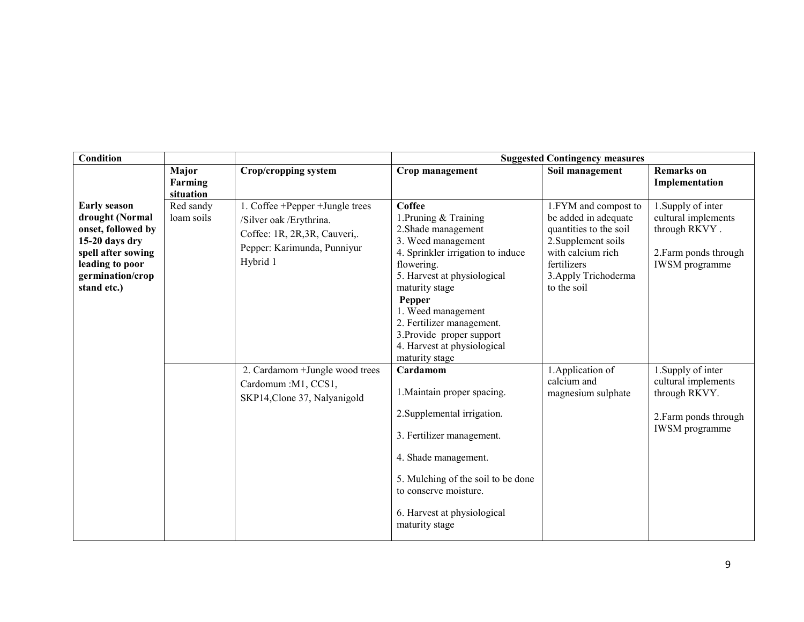| <b>Condition</b>                                                                                                                                           |                         |                                                                                                                                         | <b>Suggested Contingency measures</b>                                                                                                                                                                                                                                                                                       |                                                                                                                                                                          |                                                                                                              |
|------------------------------------------------------------------------------------------------------------------------------------------------------------|-------------------------|-----------------------------------------------------------------------------------------------------------------------------------------|-----------------------------------------------------------------------------------------------------------------------------------------------------------------------------------------------------------------------------------------------------------------------------------------------------------------------------|--------------------------------------------------------------------------------------------------------------------------------------------------------------------------|--------------------------------------------------------------------------------------------------------------|
|                                                                                                                                                            | Major<br>Farming        | Crop/cropping system                                                                                                                    | Crop management                                                                                                                                                                                                                                                                                                             | Soil management                                                                                                                                                          | <b>Remarks</b> on<br>Implementation                                                                          |
|                                                                                                                                                            | situation               |                                                                                                                                         |                                                                                                                                                                                                                                                                                                                             |                                                                                                                                                                          |                                                                                                              |
| <b>Early season</b><br>drought (Normal<br>onset, followed by<br>15-20 days dry<br>spell after sowing<br>leading to poor<br>germination/crop<br>stand etc.) | Red sandy<br>loam soils | 1. Coffee +Pepper +Jungle trees<br>/Silver oak / Erythrina.<br>Coffee: 1R, 2R, 3R, Cauveri,.<br>Pepper: Karimunda, Punniyur<br>Hybrid 1 | Coffee<br>1. Pruning & Training<br>2. Shade management<br>3. Weed management<br>4. Sprinkler irrigation to induce<br>flowering.<br>5. Harvest at physiological<br>maturity stage<br>Pepper<br>1. Weed management<br>2. Fertilizer management.<br>3. Provide proper support<br>4. Harvest at physiological<br>maturity stage | 1.FYM and compost to<br>be added in adequate<br>quantities to the soil<br>2. Supplement soils<br>with calcium rich<br>fertilizers<br>3. Apply Trichoderma<br>to the soil | 1. Supply of inter<br>cultural implements<br>through RKVY.<br>2. Farm ponds through<br><b>IWSM</b> programme |
|                                                                                                                                                            |                         | 2. Cardamom + Jungle wood trees<br>Cardomum : M1, CCS1,<br>SKP14, Clone 37, Nalyanigold                                                 | Cardamom<br>1. Maintain proper spacing.<br>2. Supplemental irrigation.<br>3. Fertilizer management.<br>4. Shade management.<br>5. Mulching of the soil to be done<br>to conserve moisture.<br>6. Harvest at physiological<br>maturity stage                                                                                 | 1. Application of<br>calcium and<br>magnesium sulphate                                                                                                                   | 1. Supply of inter<br>cultural implements<br>through RKVY.<br>2. Farm ponds through<br><b>IWSM</b> programme |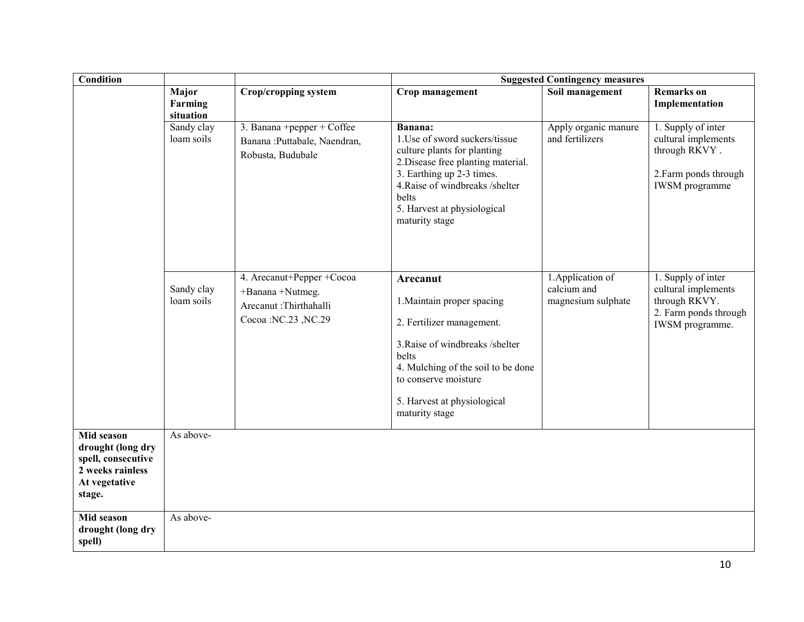| <b>Condition</b>                                                                                     | <b>Suggested Contingency measures</b> |                                                                                               |                                                                                                                                                                                                                                          |                                                        |                                                                                                              |
|------------------------------------------------------------------------------------------------------|---------------------------------------|-----------------------------------------------------------------------------------------------|------------------------------------------------------------------------------------------------------------------------------------------------------------------------------------------------------------------------------------------|--------------------------------------------------------|--------------------------------------------------------------------------------------------------------------|
|                                                                                                      | Major<br>Farming<br>situation         | <b>Crop/cropping system</b>                                                                   | Crop management                                                                                                                                                                                                                          | Soil management                                        | <b>Remarks</b> on<br>Implementation                                                                          |
|                                                                                                      | Sandy clay<br>loam soils              | 3. Banana +pepper + Coffee<br>Banana : Puttabale, Naendran,<br>Robusta, Budubale              | Banana:<br>1. Use of sword suckers/tissue<br>culture plants for planting<br>2. Disease free planting material.<br>3. Earthing up 2-3 times.<br>4. Raise of windbreaks /shelter<br>belts<br>5. Harvest at physiological<br>maturity stage | Apply organic manure<br>and fertilizers                | 1. Supply of inter<br>cultural implements<br>through RKVY.<br>2. Farm ponds through<br><b>IWSM</b> programme |
|                                                                                                      | Sandy clay<br>loam soils              | 4. Arecanut+Pepper +Cocoa<br>+Banana +Nutmeg.<br>Arecanut :Thirthahalli<br>Cocoa:NC.23, NC.29 | Arecanut<br>1. Maintain proper spacing<br>2. Fertilizer management.<br>3. Raise of windbreaks /shelter<br>belts<br>4. Mulching of the soil to be done<br>to conserve moisture<br>5. Harvest at physiological<br>maturity stage           | 1. Application of<br>calcium and<br>magnesium sulphate | 1. Supply of inter<br>cultural implements<br>through RKVY.<br>2. Farm ponds through<br>IWSM programme.       |
| Mid season<br>drought (long dry<br>spell, consecutive<br>2 weeks rainless<br>At vegetative<br>stage. | As above-                             |                                                                                               |                                                                                                                                                                                                                                          |                                                        |                                                                                                              |
| Mid season<br>drought (long dry<br>spell)                                                            | As above-                             |                                                                                               |                                                                                                                                                                                                                                          |                                                        |                                                                                                              |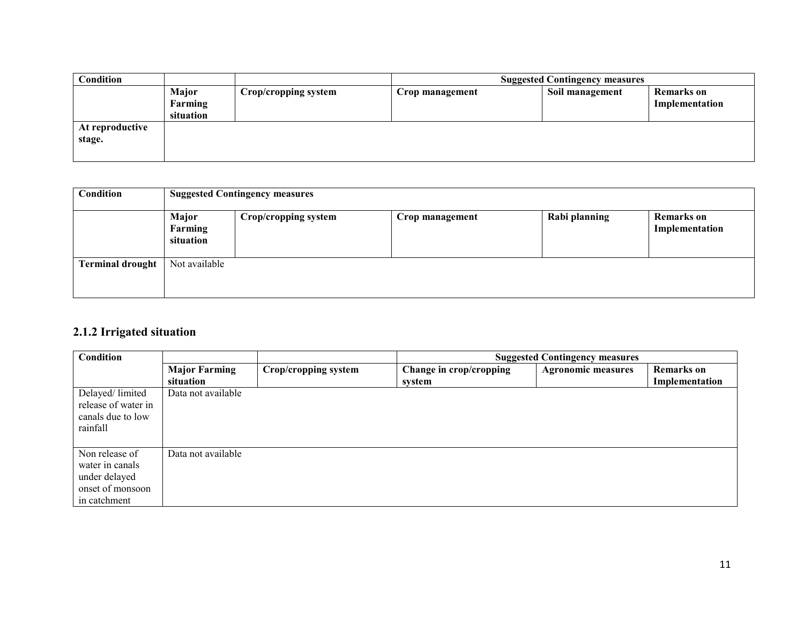| Condition                 |                               |                      | <b>Suggested Contingency measures</b> |                 |                                     |
|---------------------------|-------------------------------|----------------------|---------------------------------------|-----------------|-------------------------------------|
|                           | Major<br>Farming<br>situation | Crop/cropping system | Crop management                       | Soil management | <b>Remarks</b> on<br>Implementation |
| At reproductive<br>stage. |                               |                      |                                       |                 |                                     |

| Condition               | <b>Suggested Contingency measures</b> |                      |                 |               |                              |  |
|-------------------------|---------------------------------------|----------------------|-----------------|---------------|------------------------------|--|
|                         | Major<br>Farming<br>situation         | Crop/cropping system | Crop management | Rabi planning | Remarks on<br>Implementation |  |
| <b>Terminal drought</b> | Not available                         |                      |                 |               |                              |  |

### 2.1.2 Irrigated situation

| Condition           |                      |                      | <b>Suggested Contingency measures</b> |                           |                   |
|---------------------|----------------------|----------------------|---------------------------------------|---------------------------|-------------------|
|                     | <b>Major Farming</b> | Crop/cropping system | Change in crop/cropping               | <b>Agronomic measures</b> | <b>Remarks</b> on |
|                     | situation            |                      | system                                |                           | Implementation    |
| Delayed/limited     | Data not available   |                      |                                       |                           |                   |
| release of water in |                      |                      |                                       |                           |                   |
| canals due to low   |                      |                      |                                       |                           |                   |
| rainfall            |                      |                      |                                       |                           |                   |
|                     |                      |                      |                                       |                           |                   |
| Non release of      | Data not available   |                      |                                       |                           |                   |
| water in canals     |                      |                      |                                       |                           |                   |
| under delayed       |                      |                      |                                       |                           |                   |
| onset of monsoon    |                      |                      |                                       |                           |                   |
| in catchment        |                      |                      |                                       |                           |                   |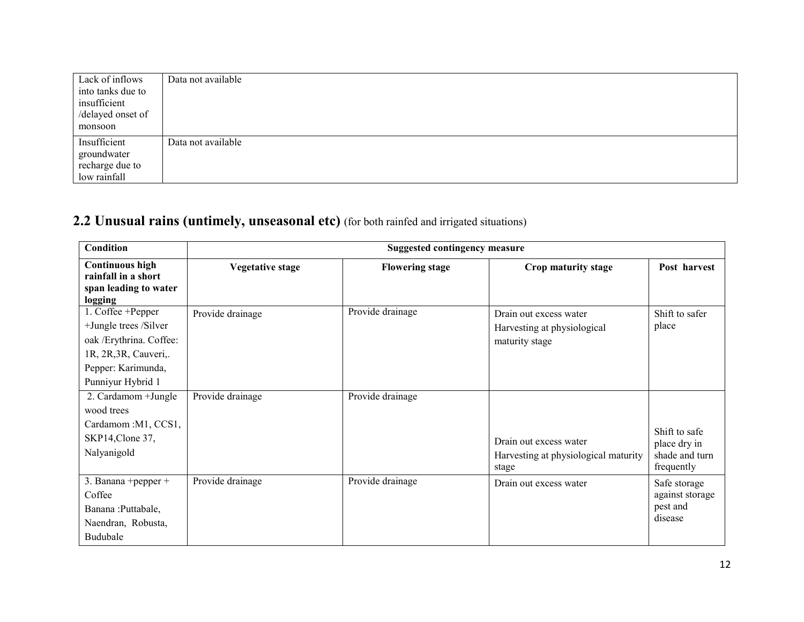| Lack of inflows   | Data not available |
|-------------------|--------------------|
| into tanks due to |                    |
| insufficient      |                    |
| /delayed onset of |                    |
| monsoon           |                    |
| Insufficient      | Data not available |
| groundwater       |                    |
| recharge due to   |                    |
| low rainfall      |                    |

# 2.2 Unusual rains (untimely, unseasonal etc) (for both rainfed and irrigated situations)

| <b>Condition</b>                                                                                                                           | <b>Suggested contingency measure</b> |                        |                                                                         |                                                               |  |
|--------------------------------------------------------------------------------------------------------------------------------------------|--------------------------------------|------------------------|-------------------------------------------------------------------------|---------------------------------------------------------------|--|
| <b>Continuous high</b><br>rainfall in a short<br>span leading to water<br>logging                                                          | <b>Vegetative stage</b>              | <b>Flowering stage</b> | Crop maturity stage                                                     | Post harvest                                                  |  |
| 1. Coffee +Pepper<br>+Jungle trees /Silver<br>oak / Erythrina. Coffee:<br>1R, 2R, 3R, Cauveri,.<br>Pepper: Karimunda,<br>Punniyur Hybrid 1 | Provide drainage                     | Provide drainage       | Drain out excess water<br>Harvesting at physiological<br>maturity stage | Shift to safer<br>place                                       |  |
| 2. Cardamom + Jungle<br>wood trees<br>Cardamom : M1, CCS1,<br>SKP14, Clone 37,<br>Nalyanigold                                              | Provide drainage                     | Provide drainage       | Drain out excess water<br>Harvesting at physiological maturity<br>stage | Shift to safe<br>place dry in<br>shade and turn<br>frequently |  |
| 3. Banana + pepper +<br>Coffee<br>Banana : Puttabale,<br>Naendran, Robusta,<br>Budubale                                                    | Provide drainage                     | Provide drainage       | Drain out excess water                                                  | Safe storage<br>against storage<br>pest and<br>disease        |  |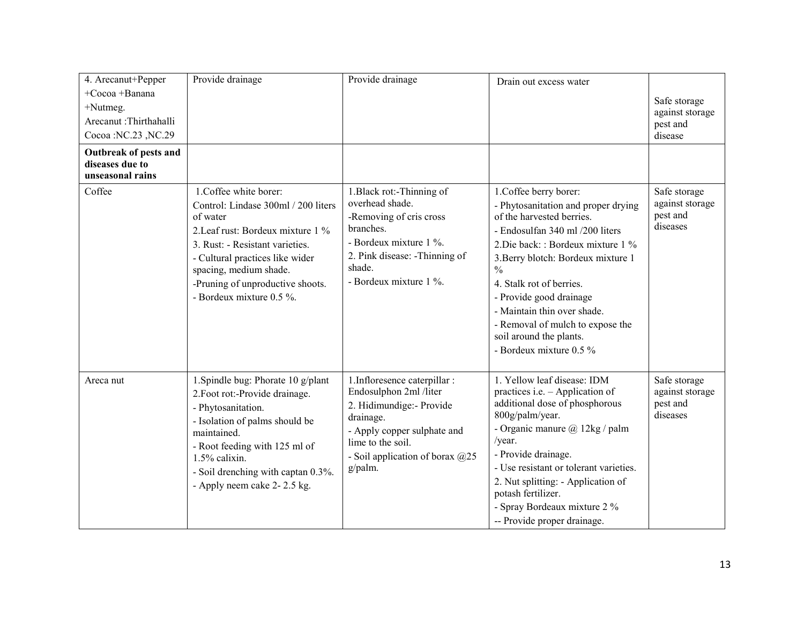| 4. Arecanut+Pepper                                           | Provide drainage                                                                                                                                                                                                                                                               | Provide drainage                                                                                                                                                                                     | Drain out excess water                                                                                                                                                                                                                                                                                                                                                                                     |                                                         |
|--------------------------------------------------------------|--------------------------------------------------------------------------------------------------------------------------------------------------------------------------------------------------------------------------------------------------------------------------------|------------------------------------------------------------------------------------------------------------------------------------------------------------------------------------------------------|------------------------------------------------------------------------------------------------------------------------------------------------------------------------------------------------------------------------------------------------------------------------------------------------------------------------------------------------------------------------------------------------------------|---------------------------------------------------------|
| +Cocoa +Banana                                               |                                                                                                                                                                                                                                                                                |                                                                                                                                                                                                      |                                                                                                                                                                                                                                                                                                                                                                                                            |                                                         |
| $+$ Nutmeg.                                                  |                                                                                                                                                                                                                                                                                |                                                                                                                                                                                                      |                                                                                                                                                                                                                                                                                                                                                                                                            | Safe storage<br>against storage                         |
| Arecanut :Thirthahalli                                       |                                                                                                                                                                                                                                                                                |                                                                                                                                                                                                      |                                                                                                                                                                                                                                                                                                                                                                                                            | pest and                                                |
| Cocoa :NC.23, NC.29                                          |                                                                                                                                                                                                                                                                                |                                                                                                                                                                                                      |                                                                                                                                                                                                                                                                                                                                                                                                            | disease                                                 |
| Outbreak of pests and<br>diseases due to<br>unseasonal rains |                                                                                                                                                                                                                                                                                |                                                                                                                                                                                                      |                                                                                                                                                                                                                                                                                                                                                                                                            |                                                         |
| Coffee                                                       | 1. Coffee white borer:<br>Control: Lindase 300ml / 200 liters<br>of water<br>2. Leaf rust: Bordeux mixture 1 %<br>3. Rust: - Resistant varieties.<br>- Cultural practices like wider<br>spacing, medium shade.<br>-Pruning of unproductive shoots.<br>- Bordeux mixture 0.5 %. | 1. Black rot:-Thinning of<br>overhead shade.<br>-Removing of cris cross<br>branches.<br>- Bordeux mixture 1 %.<br>2. Pink disease: -Thinning of<br>shade.<br>- Bordeux mixture 1 %.                  | 1. Coffee berry borer:<br>- Phytosanitation and proper drying<br>of the harvested berries.<br>- Endosulfan 340 ml /200 liters<br>2. Die back: : Bordeux mixture 1 %<br>3. Berry blotch: Bordeux mixture 1<br>$\frac{0}{0}$<br>4. Stalk rot of berries.<br>- Provide good drainage<br>- Maintain thin over shade.<br>- Removal of mulch to expose the<br>soil around the plants.<br>- Bordeux mixture 0.5 % | Safe storage<br>against storage<br>pest and<br>diseases |
| Areca nut                                                    | 1. Spindle bug: Phorate 10 g/plant<br>2. Foot rot:-Provide drainage.<br>- Phytosanitation.<br>- Isolation of palms should be<br>maintained.<br>- Root feeding with 125 ml of<br>1.5% calixin.<br>- Soil drenching with captan 0.3%.<br>- Apply neem cake 2-2.5 kg.             | 1. Infloresence caterpillar :<br>Endosulphon 2ml /liter<br>2. Hidimundige:- Provide<br>drainage.<br>- Apply copper sulphate and<br>lime to the soil.<br>- Soil application of borax $@25$<br>g/palm. | 1. Yellow leaf disease: IDM<br>practices i.e. - Application of<br>additional dose of phosphorous<br>800g/palm/year.<br>- Organic manure $\omega$ 12kg / palm<br>/year.<br>- Provide drainage.<br>- Use resistant or tolerant varieties.<br>2. Nut splitting: - Application of<br>potash fertilizer.<br>- Spray Bordeaux mixture 2 %<br>-- Provide proper drainage.                                         | Safe storage<br>against storage<br>pest and<br>diseases |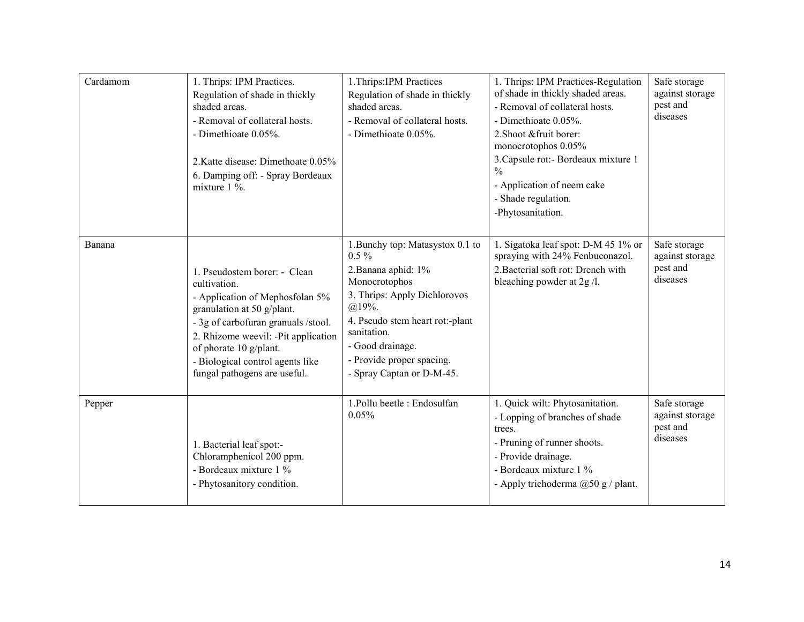| Cardamom | 1. Thrips: IPM Practices.<br>Regulation of shade in thickly<br>shaded areas.<br>- Removal of collateral hosts.<br>- Dimethioate 0.05%.<br>2. Katte disease: Dimethoate 0.05%<br>6. Damping off: - Spray Bordeaux<br>mixture $1\%$ .                                                       | 1. Thrips: IPM Practices<br>Regulation of shade in thickly<br>shaded areas.<br>- Removal of collateral hosts.<br>- Dimethioate 0.05%.                                                                                                                             | 1. Thrips: IPM Practices-Regulation<br>of shade in thickly shaded areas.<br>- Removal of collateral hosts.<br>- Dimethioate 0.05%.<br>2. Shoot & fruit borer:<br>monocrotophos 0.05%<br>3. Capsule rot: - Bordeaux mixture 1<br>$\frac{0}{0}$<br>- Application of neem cake<br>- Shade regulation.<br>-Phytosanitation. | Safe storage<br>against storage<br>pest and<br>diseases |
|----------|-------------------------------------------------------------------------------------------------------------------------------------------------------------------------------------------------------------------------------------------------------------------------------------------|-------------------------------------------------------------------------------------------------------------------------------------------------------------------------------------------------------------------------------------------------------------------|-------------------------------------------------------------------------------------------------------------------------------------------------------------------------------------------------------------------------------------------------------------------------------------------------------------------------|---------------------------------------------------------|
| Banana   | 1. Pseudostem borer: - Clean<br>cultivation.<br>- Application of Mephosfolan 5%<br>granulation at 50 g/plant.<br>- 3g of carbofuran granuals /stool.<br>2. Rhizome weevil: -Pit application<br>of phorate 10 g/plant.<br>- Biological control agents like<br>fungal pathogens are useful. | 1. Bunchy top: Matasystox 0.1 to<br>$0.5\%$<br>2. Banana aphid: 1%<br>Monocrotophos<br>3. Thrips: Apply Dichlorovos<br>$(a)$ 19%.<br>4. Pseudo stem heart rot:-plant<br>sanitation.<br>- Good drainage.<br>- Provide proper spacing.<br>- Spray Captan or D-M-45. | 1. Sigatoka leaf spot: D-M 45 1% or<br>spraying with 24% Fenbuconazol.<br>2. Bacterial soft rot: Drench with<br>bleaching powder at 2g /l.                                                                                                                                                                              | Safe storage<br>against storage<br>pest and<br>diseases |
| Pepper   | 1. Bacterial leaf spot:-<br>Chloramphenicol 200 ppm.<br>- Bordeaux mixture 1 %<br>- Phytosanitory condition.                                                                                                                                                                              | 1. Pollu beetle : Endosulfan<br>0.05%                                                                                                                                                                                                                             | 1. Quick wilt: Phytosanitation.<br>- Lopping of branches of shade<br>trees.<br>- Pruning of runner shoots.<br>- Provide drainage.<br>- Bordeaux mixture 1 %<br>- Apply trichoderma @50 g / plant.                                                                                                                       | Safe storage<br>against storage<br>pest and<br>diseases |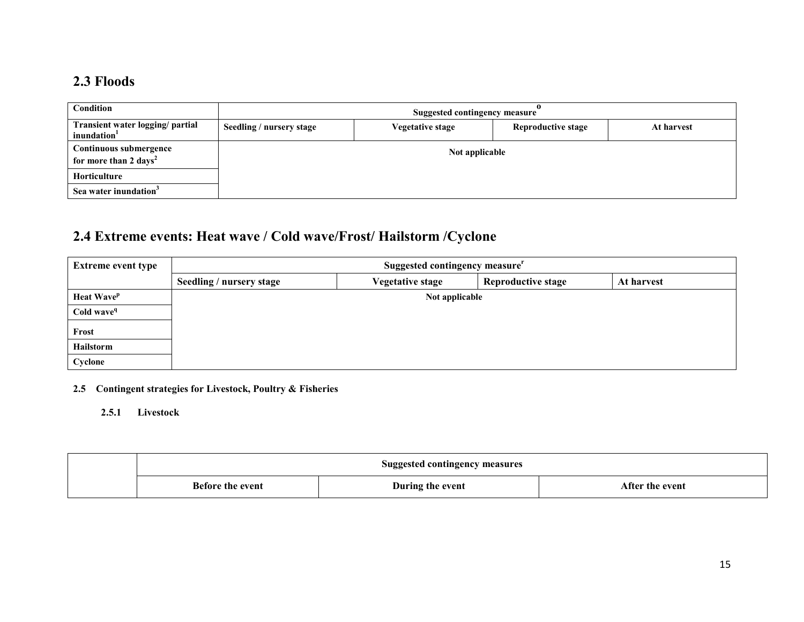### 2.3 Floods

| Condition                                                   | Suggested contingency measure |                         |                           |            |  |
|-------------------------------------------------------------|-------------------------------|-------------------------|---------------------------|------------|--|
| Transient water logging/ partial<br>inundation <sup>1</sup> | Seedling / nursery stage      | <b>Vegetative stage</b> | <b>Reproductive stage</b> | At harvest |  |
| Continuous submergence<br>for more than 2 days <sup>2</sup> | Not applicable                |                         |                           |            |  |
| <b>Horticulture</b>                                         |                               |                         |                           |            |  |
| Sea water inundation <sup>3</sup>                           |                               |                         |                           |            |  |

# 2.4 Extreme events: Heat wave / Cold wave/Frost/ Hailstorm /Cyclone

| <b>Extreme event type</b> | Suggested contingency measure <sup>r</sup> |                         |                           |            |  |
|---------------------------|--------------------------------------------|-------------------------|---------------------------|------------|--|
|                           | Seedling / nursery stage                   | <b>Vegetative stage</b> | <b>Reproductive stage</b> | At harvest |  |
| Heat Wave <sup>p</sup>    |                                            | Not applicable          |                           |            |  |
| Cold wave <sup>q</sup>    |                                            |                         |                           |            |  |
| Frost                     |                                            |                         |                           |            |  |
| Hailstorm                 |                                            |                         |                           |            |  |
| Cyclone                   |                                            |                         |                           |            |  |

- 2.5 Contingent strategies for Livestock, Poultry & Fisheries
	- 2.5.1 Livestock

| <b>Suggested contingency measures</b> |                  |                 |
|---------------------------------------|------------------|-----------------|
| <b>Before the event</b>               | During the event | After the event |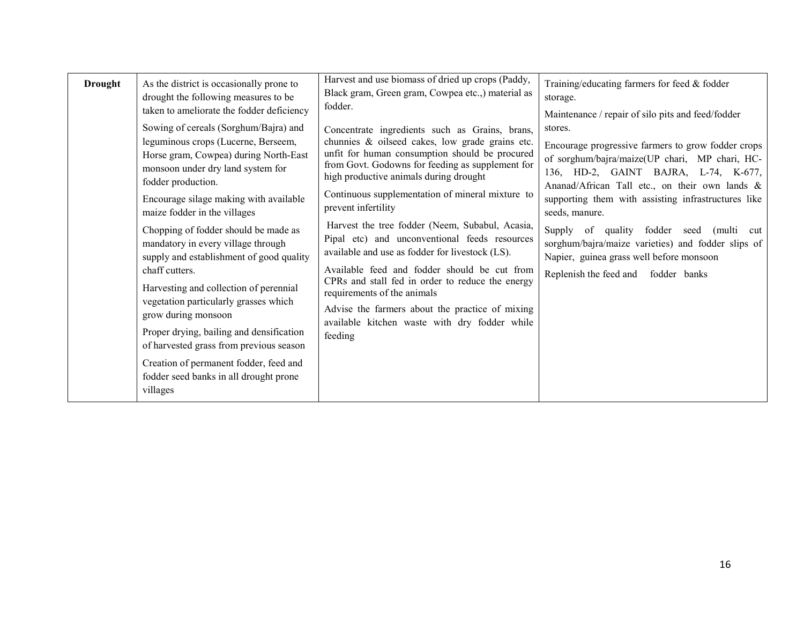| <b>Drought</b> | As the district is occasionally prone to<br>drought the following measures to be<br>taken to ameliorate the fodder deficiency<br>Sowing of cereals (Sorghum/Bajra) and<br>leguminous crops (Lucerne, Berseem,<br>Horse gram, Cowpea) during North-East<br>monsoon under dry land system for<br>fodder production.<br>Encourage silage making with available<br>maize fodder in the villages<br>Chopping of fodder should be made as<br>mandatory in every village through<br>supply and establishment of good quality<br>chaff cutters.<br>Harvesting and collection of perennial | Harvest and use biomass of dried up crops (Paddy,<br>Black gram, Green gram, Cowpea etc., material as<br>fodder.<br>Concentrate ingredients such as Grains, brans,<br>chunnies & oilseed cakes, low grade grains etc.<br>unfit for human consumption should be procured<br>from Govt. Godowns for feeding as supplement for<br>high productive animals during drought<br>Continuous supplementation of mineral mixture to<br>prevent infertility<br>Harvest the tree fodder (Neem, Subabul, Acasia,<br>Pipal etc) and unconventional feeds resources<br>available and use as fodder for livestock (LS).<br>Available feed and fodder should be cut from<br>CPRs and stall fed in order to reduce the energy | Training/educating farmers for feed & fodder<br>storage.<br>Maintenance / repair of silo pits and feed/fodder<br>stores.<br>Encourage progressive farmers to grow fodder crops<br>of sorghum/bajra/maize(UP chari, MP chari, HC-<br>136, HD-2, GAINT BAJRA, L-74, K-677,<br>Ananad/African Tall etc., on their own lands &<br>supporting them with assisting infrastructures like<br>seeds, manure.<br>Supply of quality fodder seed (multi<br>cut<br>sorghum/bajra/maize varieties) and fodder slips of<br>Napier, guinea grass well before monsoon<br>Replenish the feed and fodder banks |
|----------------|-----------------------------------------------------------------------------------------------------------------------------------------------------------------------------------------------------------------------------------------------------------------------------------------------------------------------------------------------------------------------------------------------------------------------------------------------------------------------------------------------------------------------------------------------------------------------------------|-------------------------------------------------------------------------------------------------------------------------------------------------------------------------------------------------------------------------------------------------------------------------------------------------------------------------------------------------------------------------------------------------------------------------------------------------------------------------------------------------------------------------------------------------------------------------------------------------------------------------------------------------------------------------------------------------------------|---------------------------------------------------------------------------------------------------------------------------------------------------------------------------------------------------------------------------------------------------------------------------------------------------------------------------------------------------------------------------------------------------------------------------------------------------------------------------------------------------------------------------------------------------------------------------------------------|
|                | vegetation particularly grasses which<br>grow during monsoon<br>Proper drying, bailing and densification<br>of harvested grass from previous season                                                                                                                                                                                                                                                                                                                                                                                                                               | requirements of the animals<br>Advise the farmers about the practice of mixing<br>available kitchen waste with dry fodder while<br>feeding                                                                                                                                                                                                                                                                                                                                                                                                                                                                                                                                                                  |                                                                                                                                                                                                                                                                                                                                                                                                                                                                                                                                                                                             |
|                | Creation of permanent fodder, feed and<br>fodder seed banks in all drought prone<br>villages                                                                                                                                                                                                                                                                                                                                                                                                                                                                                      |                                                                                                                                                                                                                                                                                                                                                                                                                                                                                                                                                                                                                                                                                                             |                                                                                                                                                                                                                                                                                                                                                                                                                                                                                                                                                                                             |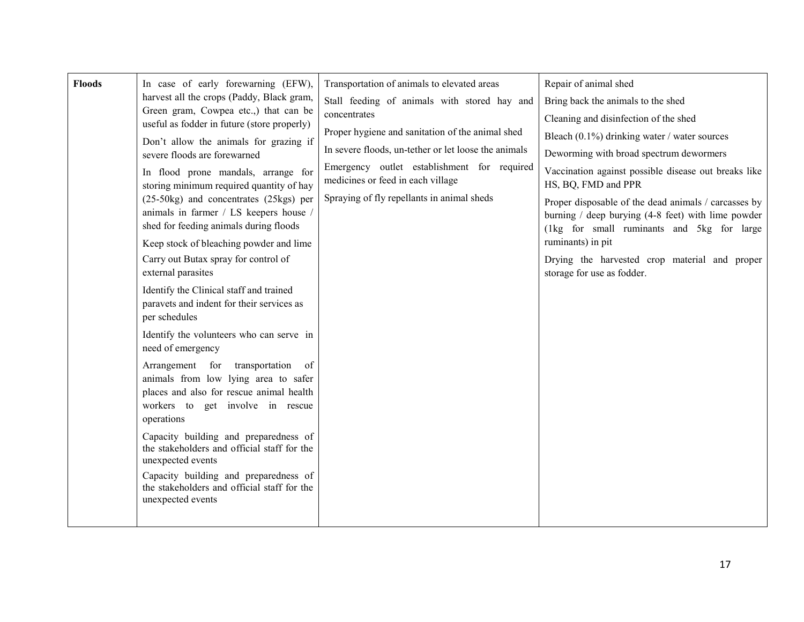| <b>Floods</b> | In case of early forewarning (EFW),<br>harvest all the crops (Paddy, Black gram,<br>Green gram, Cowpea etc.,) that can be<br>useful as fodder in future (store properly)<br>Don't allow the animals for grazing if<br>severe floods are forewarned<br>In flood prone mandals, arrange for<br>storing minimum required quantity of hay<br>(25-50kg) and concentrates (25kgs) per<br>animals in farmer / LS keepers house /<br>shed for feeding animals during floods<br>Keep stock of bleaching powder and lime<br>Carry out Butax spray for control of<br>external parasites<br>Identify the Clinical staff and trained<br>paravets and indent for their services as<br>per schedules<br>Identify the volunteers who can serve in<br>need of emergency | Transportation of animals to elevated areas<br>Stall feeding of animals with stored hay and<br>concentrates<br>Proper hygiene and sanitation of the animal shed<br>In severe floods, un-tether or let loose the animals<br>Emergency outlet establishment for required<br>medicines or feed in each village<br>Spraying of fly repellants in animal sheds | Repair of animal shed<br>Bring back the animals to the shed<br>Cleaning and disinfection of the shed<br>Bleach $(0.1\%)$ drinking water / water sources<br>Deworming with broad spectrum dewormers<br>Vaccination against possible disease out breaks like<br>HS, BQ, FMD and PPR<br>Proper disposable of the dead animals / carcasses by<br>burning $/$ deep burying (4-8 feet) with lime powder<br>(1kg for small ruminants and 5kg for large<br>ruminants) in pit<br>Drying the harvested crop material and proper<br>storage for use as fodder. |
|---------------|--------------------------------------------------------------------------------------------------------------------------------------------------------------------------------------------------------------------------------------------------------------------------------------------------------------------------------------------------------------------------------------------------------------------------------------------------------------------------------------------------------------------------------------------------------------------------------------------------------------------------------------------------------------------------------------------------------------------------------------------------------|-----------------------------------------------------------------------------------------------------------------------------------------------------------------------------------------------------------------------------------------------------------------------------------------------------------------------------------------------------------|-----------------------------------------------------------------------------------------------------------------------------------------------------------------------------------------------------------------------------------------------------------------------------------------------------------------------------------------------------------------------------------------------------------------------------------------------------------------------------------------------------------------------------------------------------|
|               | Arrangement for transportation<br>of<br>animals from low lying area to safer<br>places and also for rescue animal health<br>workers to get involve in rescue<br>operations<br>Capacity building and preparedness of<br>the stakeholders and official staff for the<br>unexpected events<br>Capacity building and preparedness of<br>the stakeholders and official staff for the<br>unexpected events                                                                                                                                                                                                                                                                                                                                                   |                                                                                                                                                                                                                                                                                                                                                           |                                                                                                                                                                                                                                                                                                                                                                                                                                                                                                                                                     |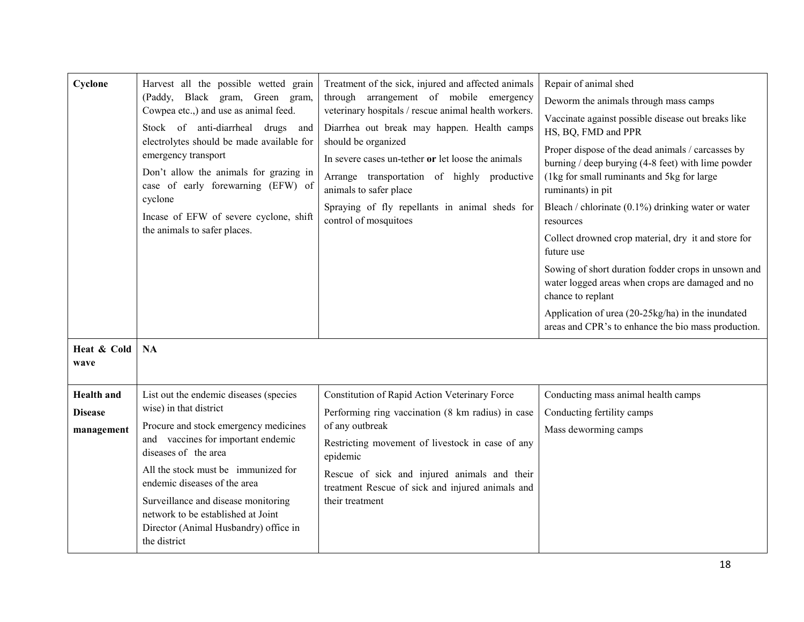| Cyclone<br>Heat & Cold<br>wave                    | Harvest all the possible wetted grain<br>(Paddy, Black gram, Green gram,<br>Cowpea etc.,) and use as animal feed.<br>Stock of anti-diarrheal drugs<br>and<br>electrolytes should be made available for<br>emergency transport<br>Don't allow the animals for grazing in<br>case of early forewarning (EFW) of<br>cyclone<br>Incase of EFW of severe cyclone, shift<br>the animals to safer places.<br>NA | Treatment of the sick, injured and affected animals<br>through arrangement of mobile emergency<br>veterinary hospitals / rescue animal health workers.<br>Diarrhea out break may happen. Health camps<br>should be organized<br>In severe cases un-tether or let loose the animals<br>Arrange transportation of highly productive<br>animals to safer place<br>Spraying of fly repellants in animal sheds for<br>control of mosquitoes | Repair of animal shed<br>Deworm the animals through mass camps<br>Vaccinate against possible disease out breaks like<br>HS, BQ, FMD and PPR<br>Proper dispose of the dead animals / carcasses by<br>burning / deep burying $(4-8$ feet) with lime powder<br>(1kg for small ruminants and 5kg for large<br>ruminants) in pit<br>Bleach / chlorinate $(0.1\%)$ drinking water or water<br>resources<br>Collect drowned crop material, dry it and store for<br>future use<br>Sowing of short duration fodder crops in unsown and<br>water logged areas when crops are damaged and no<br>chance to replant<br>Application of urea (20-25kg/ha) in the inundated<br>areas and CPR's to enhance the bio mass production. |
|---------------------------------------------------|----------------------------------------------------------------------------------------------------------------------------------------------------------------------------------------------------------------------------------------------------------------------------------------------------------------------------------------------------------------------------------------------------------|----------------------------------------------------------------------------------------------------------------------------------------------------------------------------------------------------------------------------------------------------------------------------------------------------------------------------------------------------------------------------------------------------------------------------------------|--------------------------------------------------------------------------------------------------------------------------------------------------------------------------------------------------------------------------------------------------------------------------------------------------------------------------------------------------------------------------------------------------------------------------------------------------------------------------------------------------------------------------------------------------------------------------------------------------------------------------------------------------------------------------------------------------------------------|
| <b>Health</b> and<br><b>Disease</b><br>management | List out the endemic diseases (species<br>wise) in that district<br>Procure and stock emergency medicines<br>and vaccines for important endemic<br>diseases of the area<br>All the stock must be immunized for<br>endemic diseases of the area<br>Surveillance and disease monitoring<br>network to be established at Joint<br>Director (Animal Husbandry) office in<br>the district                     | Constitution of Rapid Action Veterinary Force<br>Performing ring vaccination (8 km radius) in case<br>of any outbreak<br>Restricting movement of livestock in case of any<br>epidemic<br>Rescue of sick and injured animals and their<br>treatment Rescue of sick and injured animals and<br>their treatment                                                                                                                           | Conducting mass animal health camps<br>Conducting fertility camps<br>Mass deworming camps                                                                                                                                                                                                                                                                                                                                                                                                                                                                                                                                                                                                                          |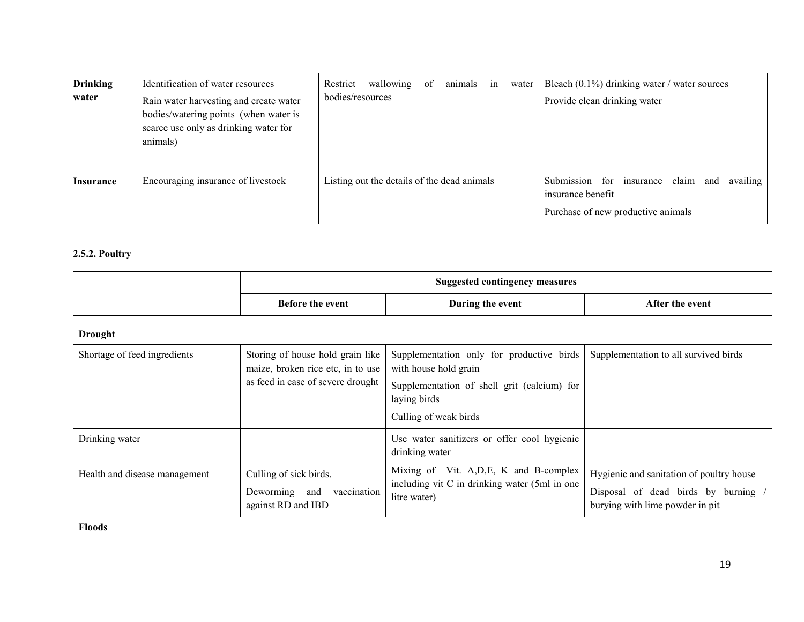| <b>Drinking</b><br>water | Identification of water resources<br>Rain water harvesting and create water<br>bodies/watering points (when water is<br>scarce use only as drinking water for<br>animals) | wallowing<br>Restrict<br>bodies/resources   | animals<br>of | water<br>in | Bleach $(0.1\%)$ drinking water / water sources<br>Provide clean drinking water                              |
|--------------------------|---------------------------------------------------------------------------------------------------------------------------------------------------------------------------|---------------------------------------------|---------------|-------------|--------------------------------------------------------------------------------------------------------------|
| <b>Insurance</b>         | Encouraging insurance of livestock                                                                                                                                        | Listing out the details of the dead animals |               |             | Submission for insurance claim<br>availing<br>and<br>insurance benefit<br>Purchase of new productive animals |

#### 2.5.2. Poultry

|                               | <b>Suggested contingency measures</b>                                        |                                                                                                          |                                                                                                                  |  |  |
|-------------------------------|------------------------------------------------------------------------------|----------------------------------------------------------------------------------------------------------|------------------------------------------------------------------------------------------------------------------|--|--|
|                               | <b>Before the event</b>                                                      | During the event                                                                                         | After the event                                                                                                  |  |  |
| <b>Drought</b>                |                                                                              |                                                                                                          |                                                                                                                  |  |  |
| Shortage of feed ingredients  | Storing of house hold grain like<br>maize, broken rice etc, in to use        | Supplementation only for productive birds<br>with house hold grain                                       | Supplementation to all survived birds                                                                            |  |  |
|                               | as feed in case of severe drought                                            | Supplementation of shell grit (calcium) for<br>laying birds                                              |                                                                                                                  |  |  |
|                               |                                                                              | Culling of weak birds                                                                                    |                                                                                                                  |  |  |
| Drinking water                |                                                                              | Use water sanitizers or offer cool hygienic<br>drinking water                                            |                                                                                                                  |  |  |
| Health and disease management | Culling of sick birds.<br>Deworming and<br>vaccination<br>against RD and IBD | Mixing of Vit. A, D, E, K and B-complex<br>including vit C in drinking water (5ml in one<br>litre water) | Hygienic and sanitation of poultry house<br>Disposal of dead birds by burning<br>burying with lime powder in pit |  |  |
| <b>Floods</b>                 |                                                                              |                                                                                                          |                                                                                                                  |  |  |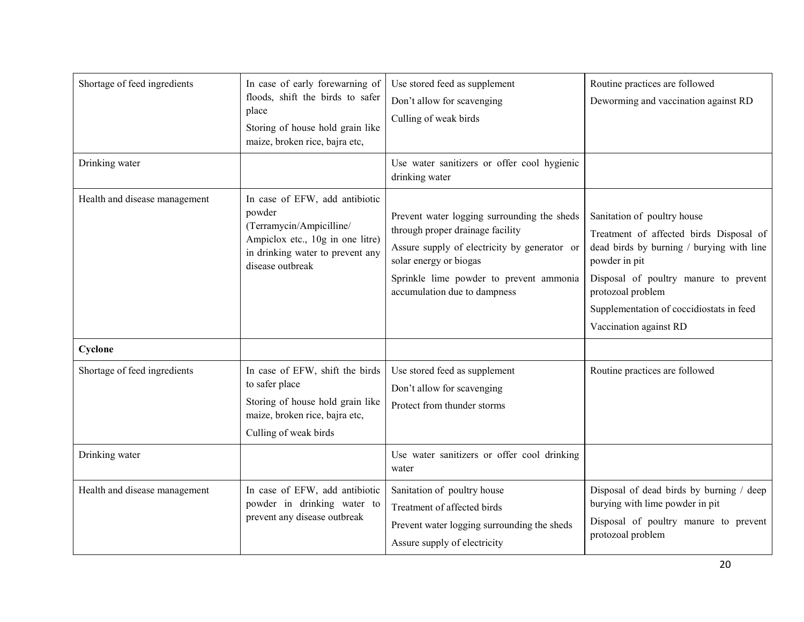| Shortage of feed ingredients  | In case of early forewarning of<br>floods, shift the birds to safer<br>place<br>Storing of house hold grain like<br>maize, broken rice, bajra etc,               | Use stored feed as supplement<br>Don't allow for scavenging<br>Culling of weak birds                                                                                                                                                 | Routine practices are followed<br>Deworming and vaccination against RD                                                                                                                                                                                                   |
|-------------------------------|------------------------------------------------------------------------------------------------------------------------------------------------------------------|--------------------------------------------------------------------------------------------------------------------------------------------------------------------------------------------------------------------------------------|--------------------------------------------------------------------------------------------------------------------------------------------------------------------------------------------------------------------------------------------------------------------------|
| Drinking water                |                                                                                                                                                                  | Use water sanitizers or offer cool hygienic<br>drinking water                                                                                                                                                                        |                                                                                                                                                                                                                                                                          |
| Health and disease management | In case of EFW, add antibiotic<br>powder<br>(Terramycin/Ampicilline/<br>Ampiclox etc., 10g in one litre)<br>in drinking water to prevent any<br>disease outbreak | Prevent water logging surrounding the sheds<br>through proper drainage facility<br>Assure supply of electricity by generator or<br>solar energy or biogas<br>Sprinkle lime powder to prevent ammonia<br>accumulation due to dampness | Sanitation of poultry house<br>Treatment of affected birds Disposal of<br>dead birds by burning / burying with line<br>powder in pit<br>Disposal of poultry manure to prevent<br>protozoal problem<br>Supplementation of coccidiostats in feed<br>Vaccination against RD |
| Cyclone                       |                                                                                                                                                                  |                                                                                                                                                                                                                                      |                                                                                                                                                                                                                                                                          |
| Shortage of feed ingredients  | In case of EFW, shift the birds<br>to safer place<br>Storing of house hold grain like<br>maize, broken rice, bajra etc,<br>Culling of weak birds                 | Use stored feed as supplement<br>Don't allow for scavenging<br>Protect from thunder storms                                                                                                                                           | Routine practices are followed                                                                                                                                                                                                                                           |
| Drinking water                |                                                                                                                                                                  | Use water sanitizers or offer cool drinking<br>water                                                                                                                                                                                 |                                                                                                                                                                                                                                                                          |
| Health and disease management | In case of EFW, add antibiotic<br>powder in drinking water to<br>prevent any disease outbreak                                                                    | Sanitation of poultry house<br>Treatment of affected birds<br>Prevent water logging surrounding the sheds<br>Assure supply of electricity                                                                                            | Disposal of dead birds by burning / deep<br>burying with lime powder in pit<br>Disposal of poultry manure to prevent<br>protozoal problem                                                                                                                                |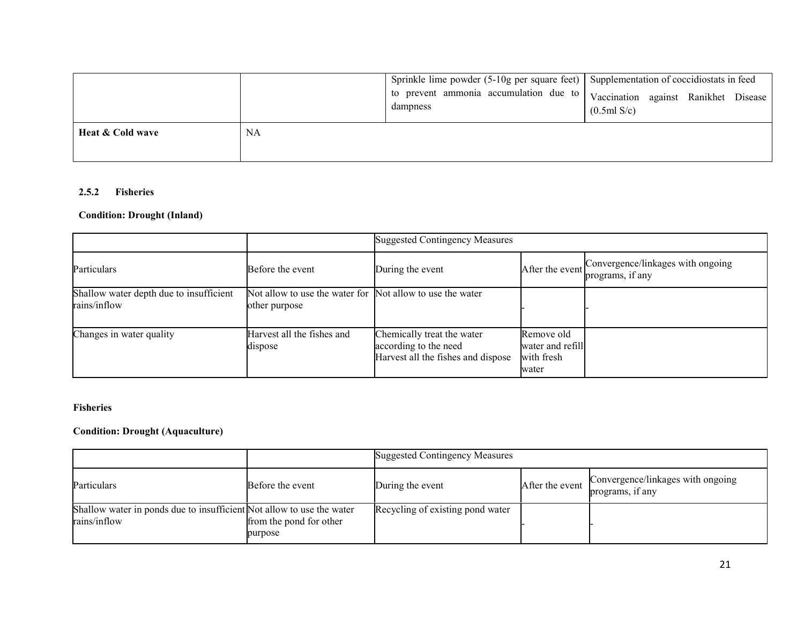|                  |    | Sprinkle lime powder (5-10g per square feet) Supplementation of coccidiostats in feed<br>  to prevent ammonia accumulation due to   Vaccination against Ranikhet Disease<br>dampness | (0.5ml S/c) |  |
|------------------|----|--------------------------------------------------------------------------------------------------------------------------------------------------------------------------------------|-------------|--|
| Heat & Cold wave | NA |                                                                                                                                                                                      |             |  |

#### 2.5.2Fisheries

#### Condition: Drought (Inland)

|                                                         |                                                                            | <b>Suggested Contingency Measures</b>                                                     |                                                       |                                                       |
|---------------------------------------------------------|----------------------------------------------------------------------------|-------------------------------------------------------------------------------------------|-------------------------------------------------------|-------------------------------------------------------|
| Particulars                                             | Before the event                                                           | During the event                                                                          | After the event                                       | Convergence/linkages with ongoing<br>programs, if any |
| Shallow water depth due to insufficient<br>rains/inflow | Not allow to use the water for Not allow to use the water<br>other purpose |                                                                                           |                                                       |                                                       |
| Changes in water quality                                | Harvest all the fishes and<br>dispose                                      | Chemically treat the water<br>according to the need<br>Harvest all the fishes and dispose | Remove old<br>water and refill<br>with fresh<br>water |                                                       |

#### Fisheries

#### Condition: Drought (Aquaculture)

|                                                                                       |                                    | <b>Suggested Contingency Measures</b> |                 |                                                       |  |
|---------------------------------------------------------------------------------------|------------------------------------|---------------------------------------|-----------------|-------------------------------------------------------|--|
| Particulars                                                                           | Before the event                   | During the event                      | After the event | Convergence/linkages with ongoing<br>programs, if any |  |
| Shallow water in ponds due to insufficient Not allow to use the water<br>rains/inflow | from the pond for other<br>purpose | Recycling of existing pond water      |                 |                                                       |  |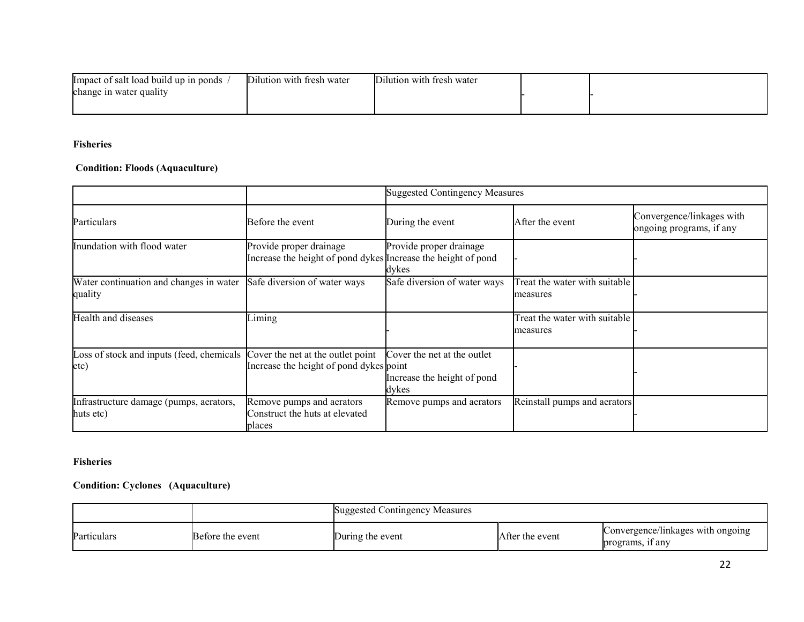| limpact of salt load build up in ponds | ∼.<br>Dilution with fresh water | Dilution with fresh water |  |
|----------------------------------------|---------------------------------|---------------------------|--|
| change in water quality                |                                 |                           |  |
|                                        |                                 |                           |  |

#### Fisheries

#### Condition: Floods (Aquaculture)

|                                                                                     |                                                                                          | <b>Suggested Contingency Measures</b>                               |                                           |                                                       |
|-------------------------------------------------------------------------------------|------------------------------------------------------------------------------------------|---------------------------------------------------------------------|-------------------------------------------|-------------------------------------------------------|
| Particulars                                                                         | Before the event                                                                         | During the event                                                    | After the event                           | Convergence/linkages with<br>ongoing programs, if any |
| Inundation with flood water                                                         | Provide proper drainage<br>Increase the height of pond dykes Increase the height of pond | Provide proper drainage<br>dykes                                    |                                           |                                                       |
| Water continuation and changes in water<br>quality                                  | Safe diversion of water ways                                                             | Safe diversion of water ways                                        | Treat the water with suitable<br>measures |                                                       |
| Health and diseases                                                                 | Liming                                                                                   |                                                                     | Treat the water with suitable<br>measures |                                                       |
| Loss of stock and inputs (feed, chemicals Cover the net at the outlet point<br>etc) | Increase the height of pond dykes point                                                  | Cover the net at the outlet<br>Increase the height of pond<br>dykes |                                           |                                                       |
| Infrastructure damage (pumps, aerators,<br>huts etc)                                | Remove pumps and aerators<br>Construct the huts at elevated<br>places                    | Remove pumps and aerators                                           | Reinstall pumps and aerators              |                                                       |

#### Fisheries

#### Condition: Cyclones (Aquaculture)

|             |                  | <b>Suggested Contingency Measures</b> |                 |                                                       |
|-------------|------------------|---------------------------------------|-----------------|-------------------------------------------------------|
| Particulars | Before the event | During the event                      | After the event | Convergence/linkages with ongoing<br>programs, if any |